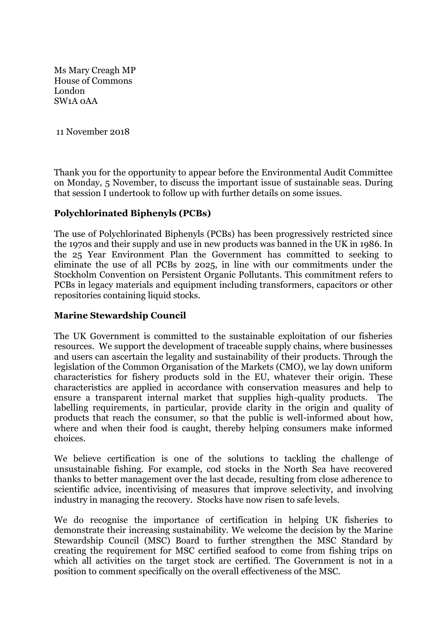Ms Mary Creagh MP House of Commons London SW1A 0AA

11 November 2018

Thank you for the opportunity to appear before the Environmental Audit Committee on Monday, 5 November, to discuss the important issue of sustainable seas. During that session I undertook to follow up with further details on some issues.

### **Polychlorinated Biphenyls (PCBs)**

The use of Polychlorinated Biphenyls (PCBs) has been progressively restricted since the 1970s and their supply and use in new products was banned in the UK in 1986. In the 25 Year Environment Plan the Government has committed to seeking to eliminate the use of all PCBs by 2025, in line with our commitments under the Stockholm Convention on Persistent Organic Pollutants. This commitment refers to PCBs in legacy materials and equipment including transformers, capacitors or other repositories containing liquid stocks.

#### **Marine Stewardship Council**

The UK Government is committed to the sustainable exploitation of our fisheries resources. We support the development of traceable supply chains, where businesses and users can ascertain the legality and sustainability of their products. Through the legislation of the Common Organisation of the Markets (CMO), we lay down uniform characteristics for fishery products sold in the EU, whatever their origin. These characteristics are applied in accordance with conservation measures and help to ensure a transparent internal market that supplies high-quality products. The labelling requirements, in particular, provide clarity in the origin and quality of products that reach the consumer, so that the public is well-informed about how, where and when their food is caught, thereby helping consumers make informed choices.

We believe certification is one of the solutions to tackling the challenge of unsustainable fishing. For example, cod stocks in the North Sea have recovered thanks to better management over the last decade, resulting from close adherence to scientific advice, incentivising of measures that improve selectivity, and involving industry in managing the recovery. Stocks have now risen to safe levels.

We do recognise the importance of certification in helping UK fisheries to demonstrate their increasing sustainability. We welcome the decision by the Marine Stewardship Council (MSC) Board to further strengthen the MSC Standard by creating the requirement for MSC certified seafood to come from fishing trips on which all activities on the target stock are certified. The Government is not in a position to comment specifically on the overall effectiveness of the MSC.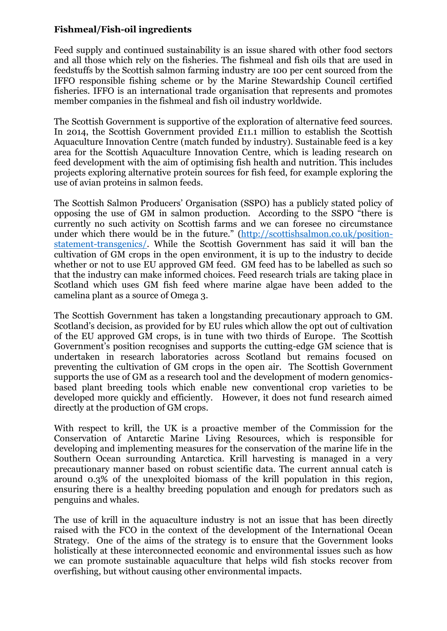## **Fishmeal/Fish-oil ingredients**

Feed supply and continued sustainability is an issue shared with other food sectors and all those which rely on the fisheries. The fishmeal and fish oils that are used in feedstuffs by the Scottish salmon farming industry are 100 per cent sourced from the IFFO responsible fishing scheme or by the Marine Stewardship Council certified fisheries. IFFO is an international trade organisation that represents and promotes member companies in the fishmeal and fish oil industry worldwide.

The Scottish Government is supportive of the exploration of alternative feed sources. In 2014, the Scottish Government provided £11.1 million to establish the Scottish Aquaculture Innovation Centre (match funded by industry). Sustainable feed is a key area for the Scottish Aquaculture Innovation Centre, which is leading research on feed development with the aim of optimising fish health and nutrition. This includes projects exploring alternative protein sources for fish feed, for example exploring the use of avian proteins in salmon feeds.

The Scottish Salmon Producers' Organisation (SSPO) has a publicly stated policy of opposing the use of GM in salmon production. According to the SSPO "there is currently no such activity on Scottish farms and we can foresee no circumstance under which there would be in the future." [\(http://scottishsalmon.co.uk/position](http://scottishsalmon.co.uk/position-statement-transgenics/)[statement-transgenics/.](http://scottishsalmon.co.uk/position-statement-transgenics/) While the Scottish Government has said it will ban the cultivation of GM crops in the open environment, it is up to the industry to decide whether or not to use EU approved GM feed. GM feed has to be labelled as such so that the industry can make informed choices. Feed research trials are taking place in Scotland which uses GM fish feed where marine algae have been added to the camelina plant as a source of Omega 3.

The Scottish Government has taken a longstanding precautionary approach to GM. Scotland's decision, as provided for by EU rules which allow the opt out of cultivation of the EU approved GM crops, is in tune with two thirds of Europe. The Scottish Government's position recognises and supports the cutting-edge GM science that is undertaken in research laboratories across Scotland but remains focused on preventing the cultivation of GM crops in the open air. The Scottish Government supports the use of GM as a research tool and the development of modern genomicsbased plant breeding tools which enable new conventional crop varieties to be developed more quickly and efficiently. However, it does not fund research aimed directly at the production of GM crops.

With respect to krill, the UK is a proactive member of the Commission for the Conservation of Antarctic Marine Living Resources, which is responsible for developing and implementing measures for the conservation of the marine life in the Southern Ocean surrounding Antarctica. Krill harvesting is managed in a very precautionary manner based on robust scientific data. The current annual catch is around 0.3% of the unexploited biomass of the krill population in this region, ensuring there is a healthy breeding population and enough for predators such as penguins and whales.

The use of krill in the aquaculture industry is not an issue that has been directly raised with the FCO in the context of the development of the International Ocean Strategy. One of the aims of the strategy is to ensure that the Government looks holistically at these interconnected economic and environmental issues such as how we can promote sustainable aquaculture that helps wild fish stocks recover from overfishing, but without causing other environmental impacts.